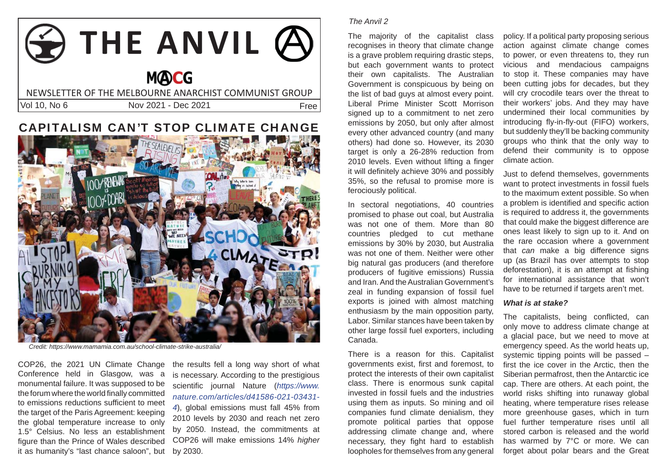# **THE ANVIL MOCG** NEWSLETTER OF THE MELBOURNE ANARCHIST COMMUNIST GROUPVol 10, No 6 Nov 2021 - Dec 2021Free

## CAPITALISM CAN'T STOP CLIMATE CHANGE



*Credit: https://www.mamamia.com.au/school-climate-strike-australia/*

COP26, the 2021 UN Climate Change Conference held in Glasgow, was a monumental failure. It was supposed to be the forum where the world finally committed to emissions reductions sufficient to meet the target of the Paris Agreement: keeping the global temperature increase to only 1.5° Celsius. No less an establishment figure than the Prince of Wales described it as humanity's "last chance saloon", but

the results fell a long way short of what is necessary. According to the prestigious scientific iournal Nature (*https://www. nature.com/articles/d41586-021-03431- 4*), global emissions must fall 45% from 2010 levels by 2030 and reach net zero by 2050. Instead, the commitments at COP26 will make emissions 14% *higher*  by 2030.

### *The Anvil 2*

The majority of the capitalist class recognises in theory that climate change is a grave problem requiring drastic steps, but each government wants to protect their own capitalists. The Australian Government is conspicuous by being on the list of bad guys at almost every point. Liberal Prime Minister Scott Morrison signed up to a commitment to net zero emissions by 2050, but only after almost every other advanced country (and many others) had done so. However, its 2030 target is only a 26-28% reduction from 2010 levels. Even without lifting a finger it will definitely achieve 30% and possibly 35%, so the refusal to promise more is ferociously political.

In sectoral negotiations, 40 countries promised to phase out coal, but Australia was not one of them. More than 80 countries pledged to cut methane emissions by 30% by 2030, but Australia was not one of them. Neither were other big natural gas producers (and therefore producers of fugitive emissions) Russia and Iran. And the Australian Government's zeal in funding expansion of fossil fuel exports is joined with almost matching enthusiasm by the main opposition party, Labor. Similar stances have been taken by other large fossil fuel exporters, including Canada.

There is a reason for this. Capitalist governments exist, first and foremost, to protect the interests of their own capitalist class. There is enormous sunk capital invested in fossil fuels and the industries using them as inputs. So mining and oil companies fund climate denialism, they promote political parties that oppose addressing climate change and, where necessary, they fight hard to establish loopholes for themselves from any general

policy. If a political party proposing serious action against climate change comes to power, or even threatens to, they run vicious and mendacious campaigns to stop it. These companies may have been cutting jobs for decades, but they will cry crocodile tears over the threat to their workers' jobs. And they may have undermined their local communities by introducing fly-in-fly-out (FIFO) workers, but suddenly they'll be backing community groups who think that the only way to defend their community is to oppose climate action.

Just to defend themselves, governments want to protect investments in fossil fuels to the maximum extent possible. So when a problem is identified and specific action is required to address it, the governments that could make the biggest difference are ones least likely to sign up to it. And on the rare occasion where a government that *can* make a big difference signs up (as Brazil has over attempts to stop deforestation), it is an attempt at fishing for international assistance that won't have to be returned if targets aren't met.

#### *What is at stake?*

The capitalists, being conflicted, can only move to address climate change at a glacial pace, but we need to move at emergency speed. As the world heats up, systemic tipping points will be passed – first the ice cover in the Arctic, then the Siberian permafrost, then the Antarctic ice cap. There are others. At each point, the world risks shifting into runaway global heating, where temperature rises release more greenhouse gases, which in turn fuel further temperature rises until all stored carbon is released and the world has warmed by 7°C or more. We can forget about polar bears and the Great